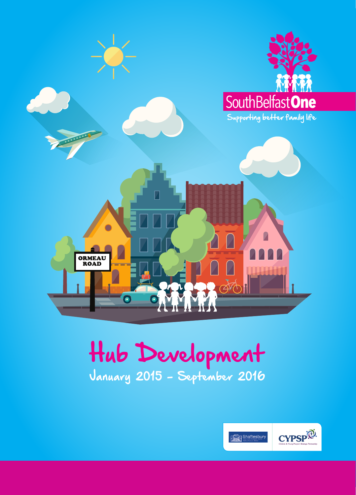

# Hub Development January 2015 - September 2016

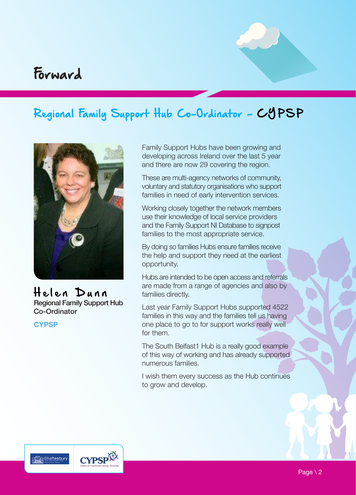## Forward

## Regional Family Support Hub Co-Ordinator - CYPSP



Helen Dunn Regional Family Support Hub Co-Ordinator

**CYPSP**

Family Support Hubs have been growing and developing across Ireland over the last 5 year and there are now 29 covering the region.

These are multi-agency networks of community, voluntary and statutory organisations who support families in need of early intervention services.

Working closely together the network members use their knowledge of local service providers and the Family Support NI Database to signpost families to the most appropriate service.

By doing so families Hubs ensure families receive the help and support they need at the earliest opportunity.

Hubs are intended to be open access and referrals are made from a range of agencies and also by families directly.

Last year Family Support Hubs supported 4522 families in this way and the families tell us having one place to go to for support works really well for them.

The South Belfast1 Hub is a really good example of this way of working and has already supported numerous families.

I wish them every success as the Hub continues to grow and develop.



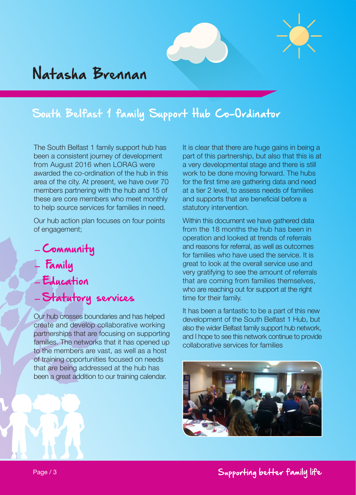## South Belfast 1 family Support Hub Co-Ordinator

The South Belfast 1 family support hub has been a consistent journey of development from August 2016 when LORAG were awarded the co-ordination of the hub in this area of the city. At present, we have over 70 members partnering with the hub and 15 of these are core members who meet monthly to help source services for families in need.

Our hub action plan focuses on four points of engagement;

- Community
- Family
- Education
- Statutory services

Our hub crosses boundaries and has helped create and develop collaborative working partnerships that are focusing on supporting families. The networks that it has opened up to the members are vast, as well as a host of training opportunities focused on needs that are being addressed at the hub has been a great addition to our training calendar.

It is clear that there are huge gains in being a part of this partnership, but also that this is at a very developmental stage and there is still work to be done moving forward. The hubs for the first time are gathering data and need at a tier 2 level, to assess needs of families and supports that are beneficial before a statutory intervention.

Within this document we have gathered data from the 18 months the hub has been in operation and looked at trends of referrals and reasons for referral, as well as outcomes for families who have used the service. It is great to look at the overall service use and very gratifying to see the amount of referrals that are coming from families themselves, who are reaching out for support at the right time for their family.

It has been a fantastic to be a part of this new development of the South Belfast 1 Hub, but also the wider Belfast family support hub network, and I hope to see this network continue to provide collaborative services for families

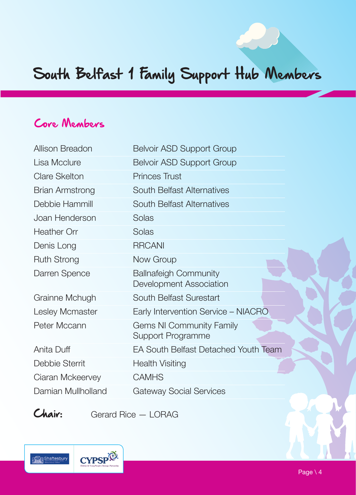# South Belfast 1 Family Support Hub Members

## Core Members

| Allison Breadon        | <b>Belvoir ASD Support Group</b>                        |
|------------------------|---------------------------------------------------------|
| Lisa Mcclure           | <b>Belvoir ASD Support Group</b>                        |
| <b>Clare Skelton</b>   | Princes Trust                                           |
| <b>Brian Armstrong</b> | <b>South Belfast Alternatives</b>                       |
| Debbie Hammill         | <b>South Belfast Alternatives</b>                       |
| Joan Henderson         | Solas                                                   |
| Heather Orr            | Solas                                                   |
| Denis Long             | <b>RRCANI</b>                                           |
| <b>Ruth Strong</b>     | Now Group                                               |
| Darren Spence          | <b>Ballnafeigh Community</b><br>Development Association |
| Grainne Mchugh         | South Belfast Surestart                                 |
| Lesley Mcmaster        | Early Intervention Service - NIACRO                     |
| Peter Mccann           | <b>Gems NI Community Family</b><br>Support Programme    |
| Anita Duff             | <b>EA South Belfast Detached Youth Team</b>             |
| Debbie Sterrit         | <b>Health Visiting</b>                                  |
| Ciaran Mckeervey       | <b>CAMHS</b>                                            |
| Damian Mullholland     | <b>Gateway Social Services</b>                          |
|                        |                                                         |

Chair: Gerard Rice - LORAG

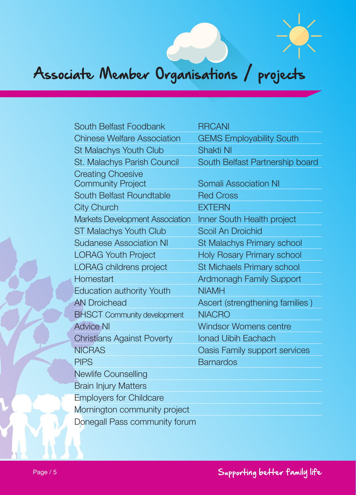# Associate Member Organisations / projects

| South Belfast Foodbank                 | <b>RRCANI</b>                     |
|----------------------------------------|-----------------------------------|
| <b>Chinese Welfare Association</b>     | <b>GEMS Employability South</b>   |
| <b>St Malachys Youth Club</b>          | <b>Shakti NI</b>                  |
| <b>St. Malachys Parish Council</b>     | South Belfast Partnership board   |
| <b>Creating Choesive</b>               |                                   |
| <b>Community Project</b>               | <b>Somali Association NI</b>      |
| South Belfast Roundtable               | <b>Red Cross</b>                  |
| <b>City Church</b>                     | <b>EXTERN</b>                     |
| <b>Markets Development Association</b> | Inner South Health project        |
| <b>ST Malachys Youth Club</b>          | Scoil An Droichid                 |
| <b>Sudanese Association NI</b>         | <b>St Malachys Primary school</b> |
| <b>LORAG Youth Project</b>             | <b>Holy Rosary Primary school</b> |
| <b>LORAG childrens project</b>         | St Michaels Primary school        |
| Homestart                              | <b>Ardmonagh Family Support</b>   |
| <b>Education authority Youth</b>       | <b>NIAMH</b>                      |
| <b>AN Droichead</b>                    | Ascert (strengthening families)   |
| <b>BHSCT Community development</b>     | <b>NIACRO</b>                     |
| <b>Advice NI</b>                       | <b>Windsor Womens centre</b>      |
| <b>Christians Against Poverty</b>      | <b>Ionad Uibih Eachach</b>        |
| <b>NICRAS</b>                          | Oasis Family support services     |
| <b>PIPS</b>                            | <b>Barnardos</b>                  |
| <b>Newlife Counselling</b>             |                                   |
| <b>Brain Injury Matters</b>            |                                   |
| <b>Employers for Childcare</b>         |                                   |
| Mornington community project           |                                   |
| Donegall Pass community forum          |                                   |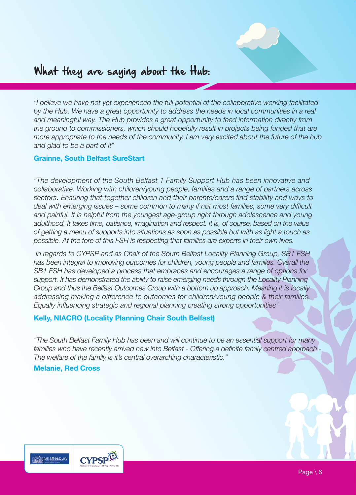

## What they are saying about the Hub:

*"I believe we have not yet experienced the full potential of the collaborative working facilitated by the Hub. We have a great opportunity to address the needs in local communities in a real and meaningful way. The Hub provides a great opportunity to feed information directly from the ground to commissioners, which should hopefully result in projects being funded that are more appropriate to the needs of the community. I am very excited about the future of the hub and glad to be a part of it"* 

#### **Grainne, South Belfast SureStart**

*"The development of the South Belfast 1 Family Support Hub has been innovative and collaborative. Working with children/young people, families and a range of partners across sectors. Ensuring that together children and their parents/carers find stability and ways to deal with emerging issues – some common to many if not most families, some very difficult and painful. It is helpful from the youngest age-group right through adolescence and young adulthood. It takes time, patience, imagination and respect. It is, of course, based on the value of getting a menu of supports into situations as soon as possible but with as light a touch as possible. At the fore of this FSH is respecting that families are experts in their own lives.*

 *In regards to CYPSP and as Chair of the South Belfast Locality Planning Group, SB1 FSH has been integral to improving outcomes for children, young people and families. Overall the SB1 FSH has developed a process that embraces and encourages a range of options for support. It has demonstrated the ability to raise emerging needs through the Locality Planning Group and thus the Belfast Outcomes Group with a bottom up approach. Meaning it is locally addressing making a difference to outcomes for children/young people & their families. Equally influencing strategic and regional planning creating strong opportunities"* 

#### **Kelly, NIACRO (Locality Planning Chair South Belfast)**

*"The South Belfast Family Hub has been and will continue to be an essential support for many*  families who have recently arrived new into Belfast - Offering a definite family centred approach -*The welfare of the family is it's central overarching characteristic."*

#### **Melanie, Red Cross**

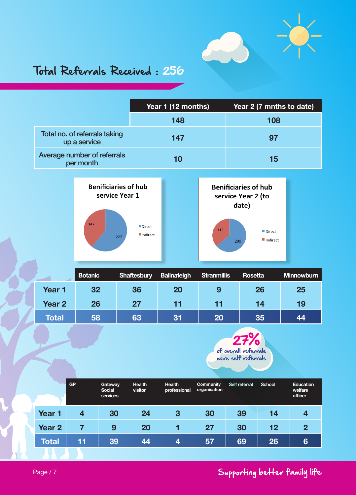

## Total Referrals Received : 256

|                                               | Year 1 (12 months) | Year 2 (7 mnths to date) |  |  |
|-----------------------------------------------|--------------------|--------------------------|--|--|
|                                               | 148                | 108                      |  |  |
| Total no. of referrals taking<br>up a service | 147                | 97                       |  |  |
| Average number of referrals<br>per month      | 10                 | 15                       |  |  |



|        | <b>Botanic</b> | Shaftesbury | <b>Ballnafeigh</b> | Stranmillis | Rosetta | <b>Minnowburn</b> |
|--------|----------------|-------------|--------------------|-------------|---------|-------------------|
| Year 1 | 32             | 36          | 20                 | 9           | 26      | 25                |
| Year 2 | 26             | 27          | 11                 | 11          | 14      | 19                |
| Total  | 58             | 63          | 31                 | 20          | 35      | 44                |



|                   | <b>GP</b> | <b>Gateway</b><br>Social<br>services | <b>Health</b><br>visitor | <b>Health</b><br>professional | Community<br>organisation | Self referral | School | Education<br>welfare<br>officer |
|-------------------|-----------|--------------------------------------|--------------------------|-------------------------------|---------------------------|---------------|--------|---------------------------------|
| Year 1            | 4         | 30                                   | 24                       | 3                             | 30                        | 39            | 14     | 4                               |
| Year <sub>2</sub> |           | 9                                    | 20                       |                               | 27                        | 30            | 12     | $\overline{2}$                  |
| <b>Total</b>      | 11        | 39                                   | 44                       | $\boldsymbol{A}$              | 57                        | 69            | 26     | 6                               |

### Supporting better family life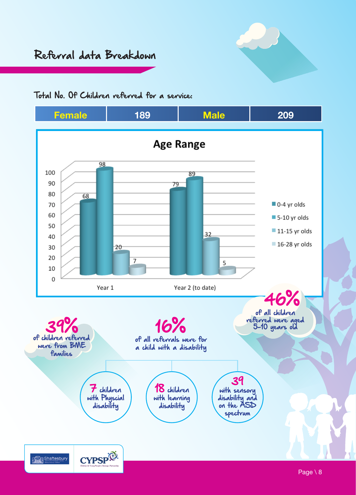## Referral data Breakdown



#### Total No. Of Children referred for a service:

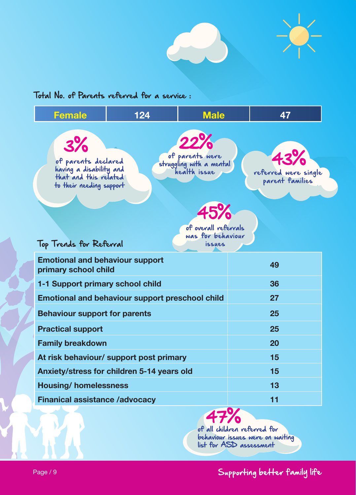

#### Total No. of Parents referred for a service :



of all children referred for behaviour issues were on waiting list for ASD assessment

Supporting better family life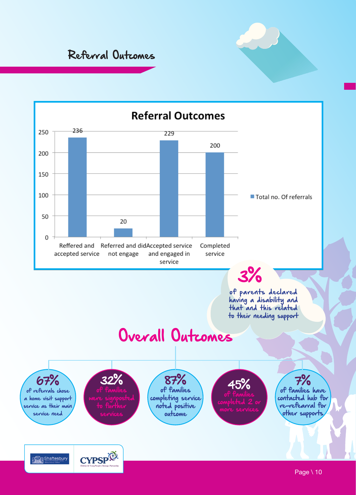Referral Outcomes

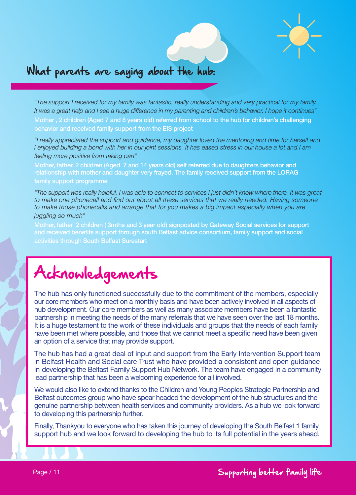



## What parents are saying about the hub:

*"The support I received for my family was fantastic, really understanding and very practical for my family. It was a great help and I see a huge difference in my parenting and children's behavior. I hope it continues"*  Mother , 2 children (Aged 7 and 8 years old) referred from school to the hub for children's challenging behavior and received family support from the EIS project

*"I really appreciated the support and guidance, my daughter loved the mentoring and time for herself and I enjoyed building a bond with her in our joint sessions. It has eased stress in our house a lot and I am feeling more positive from taking part"* 

Mother, father, 2 children (Aged 7 and 14 years old) self referred due to daughters behavior and relationship with mother and daughter very frayed. The family received support from the LORAG family support programme

*"The support was really helpful, I was able to connect to services I just didn't know where there. It was great*  to make one phonecall and find out about all these services that we really needed. Having someone to make those phonecalls and arrange that for you makes a big impact especially when you are *juggling so much"* 

Mother, father 2 children ( 3mths and 3 year old) signposted by Gateway Social services for support and received benefits support through south Belfast advice consortium, family support and social activities through South Belfast Surestart

# Acknowledgements

The hub has only functioned successfully due to the commitment of the members, especially our core members who meet on a monthly basis and have been actively involved in all aspects of hub development. Our core members as well as many associate members have been a fantastic partnership in meeting the needs of the many referrals that we have seen over the last 18 months. It is a huge testament to the work of these individuals and groups that the needs of each family have been met where possible, and those that we cannot meet a specific need have been given an option of a service that may provide support.

The hub has had a great deal of input and support from the Early Intervention Support team in Belfast Health and Social care Trust who have provided a consistent and open guidance in developing the Belfast Family Support Hub Network. The team have engaged in a community lead partnership that has been a welcoming experience for all involved.

We would also like to extend thanks to the Children and Young Peoples Strategic Partnership and Belfast outcomes group who have spear headed the development of the hub structures and the genuine partnership between health services and community providers. As a hub we look forward to developing this partnership further.

Finally, Thankyou to everyone who has taken this journey of developing the South Belfast 1 family support hub and we look forward to developing the hub to its full potential in the years ahead.